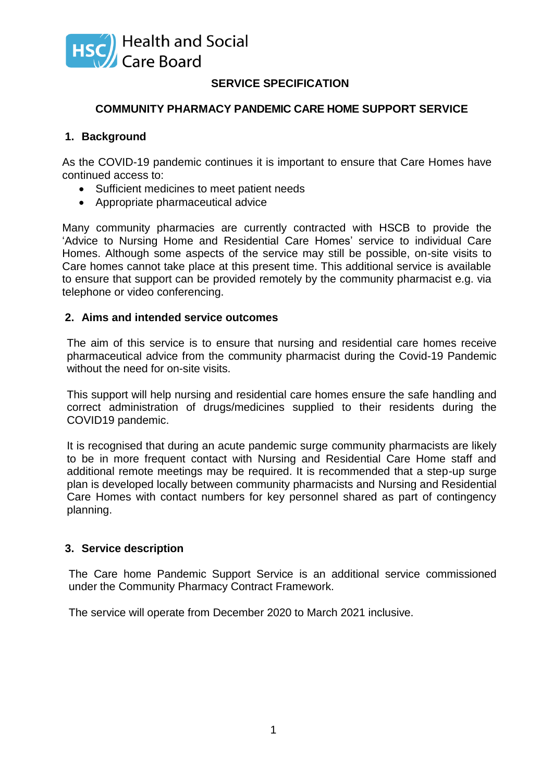

# **SERVICE SPECIFICATION**

### **COMMUNITY PHARMACY PANDEMIC CARE HOME SUPPORT SERVICE**

### **1. Background**

As the COVID-19 pandemic continues it is important to ensure that Care Homes have continued access to:

- Sufficient medicines to meet patient needs
- Appropriate pharmaceutical advice

Many community pharmacies are currently contracted with HSCB to provide the 'Advice to Nursing Home and Residential Care Homes' service to individual Care Homes. Although some aspects of the service may still be possible, on-site visits to Care homes cannot take place at this present time. This additional service is available to ensure that support can be provided remotely by the community pharmacist e.g. via telephone or video conferencing.

#### **2. Aims and intended service outcomes**

The aim of this service is to ensure that nursing and residential care homes receive pharmaceutical advice from the community pharmacist during the Covid-19 Pandemic without the need for on-site visits.

This support will help nursing and residential care homes ensure the safe handling and correct administration of drugs/medicines supplied to their residents during the COVID19 pandemic.

It is recognised that during an acute pandemic surge community pharmacists are likely to be in more frequent contact with Nursing and Residential Care Home staff and additional remote meetings may be required. It is recommended that a step-up surge plan is developed locally between community pharmacists and Nursing and Residential Care Homes with contact numbers for key personnel shared as part of contingency planning.

#### **3. Service description**

The Care home Pandemic Support Service is an additional service commissioned under the Community Pharmacy Contract Framework.

The service will operate from December 2020 to March 2021 inclusive.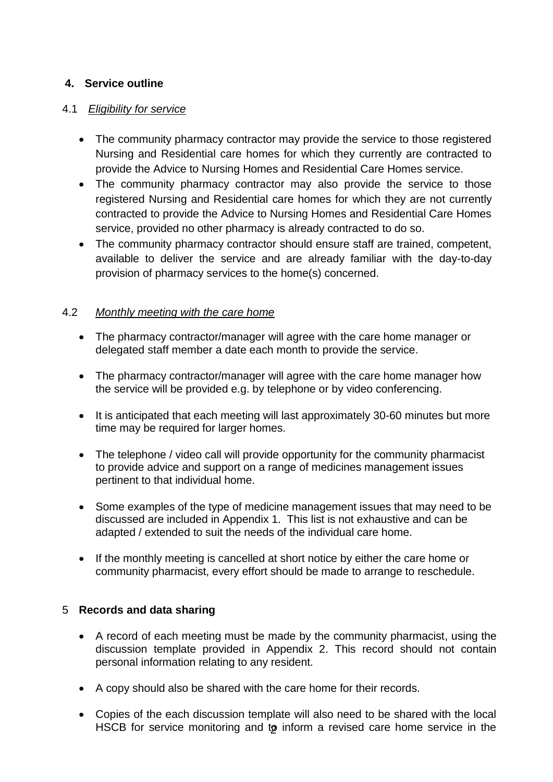# **4. Service outline**

# 4.1 *Eligibility for service*

- The community pharmacy contractor may provide the service to those registered Nursing and Residential care homes for which they currently are contracted to provide the Advice to Nursing Homes and Residential Care Homes service.
- The community pharmacy contractor may also provide the service to those registered Nursing and Residential care homes for which they are not currently contracted to provide the Advice to Nursing Homes and Residential Care Homes service, provided no other pharmacy is already contracted to do so.
- The community pharmacy contractor should ensure staff are trained, competent, available to deliver the service and are already familiar with the day-to-day provision of pharmacy services to the home(s) concerned.

## 4.2 *Monthly meeting with the care home*

- The pharmacy contractor/manager will agree with the care home manager or delegated staff member a date each month to provide the service.
- The pharmacy contractor/manager will agree with the care home manager how the service will be provided e.g. by telephone or by video conferencing.
- It is anticipated that each meeting will last approximately 30-60 minutes but more time may be required for larger homes.
- The telephone / video call will provide opportunity for the community pharmacist to provide advice and support on a range of medicines management issues pertinent to that individual home.
- Some examples of the type of medicine management issues that may need to be discussed are included in Appendix 1. This list is not exhaustive and can be adapted / extended to suit the needs of the individual care home.
- If the monthly meeting is cancelled at short notice by either the care home or community pharmacist, every effort should be made to arrange to reschedule.

# 5 **Records and data sharing**

- A record of each meeting must be made by the community pharmacist, using the discussion template provided in Appendix 2. This record should not contain personal information relating to any resident.
- A copy should also be shared with the care home for their records.
- HSCB for service monitoring and to inform a revised care home service in the Copies of the each discussion template will also need to be shared with the local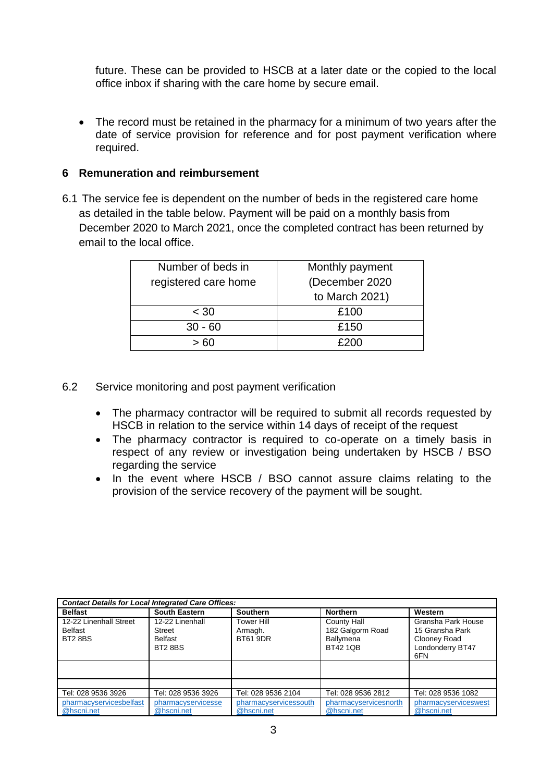future. These can be provided to HSCB at a later date or the copied to the local office inbox if sharing with the care home by secure email.

 The record must be retained in the pharmacy for a minimum of two years after the date of service provision for reference and for post payment verification where required.

## **6 Remuneration and reimbursement**

6.1 The service fee is dependent on the number of beds in the registered care home as detailed in the table below. Payment will be paid on a monthly basis from December 2020 to March 2021, once the completed contract has been returned by email to the local office.

| Number of beds in    | Monthly payment |  |  |
|----------------------|-----------------|--|--|
| registered care home | (December 2020  |  |  |
|                      | to March 2021)  |  |  |
| < 30                 | £100            |  |  |
| $30 - 60$            | £150            |  |  |
|                      |                 |  |  |

- 6.2 Service monitoring and post payment verification
	- The pharmacy contractor will be required to submit all records requested by HSCB in relation to the service within 14 days of receipt of the request
	- The pharmacy contractor is required to co-operate on a timely basis in respect of any review or investigation being undertaken by HSCB / BSO regarding the service
	- In the event where HSCB / BSO cannot assure claims relating to the provision of the service recovery of the payment will be sought.

| <b>Contact Details for Local Integrated Care Offices:</b> |                                                              |                                          |                                                                        |                                                                                  |
|-----------------------------------------------------------|--------------------------------------------------------------|------------------------------------------|------------------------------------------------------------------------|----------------------------------------------------------------------------------|
| <b>Belfast</b>                                            | <b>South Eastern</b>                                         | <b>Southern</b>                          | <b>Northern</b>                                                        | Western                                                                          |
| 12-22 Linenhall Street<br>Belfast<br><b>BT2 8BS</b>       | 12-22 Linenhall<br>Street<br><b>Belfast</b><br><b>BT28BS</b> | Tower Hill<br>Armagh.<br><b>BT61 9DR</b> | County Hall<br>182 Galgorm Road<br><b>Ballymena</b><br><b>BT42 1QB</b> | Gransha Park House<br>15 Gransha Park<br>Clooney Road<br>Londonderry BT47<br>6FN |
|                                                           |                                                              |                                          |                                                                        |                                                                                  |
|                                                           |                                                              |                                          |                                                                        |                                                                                  |
| Tel: 028 9536 3926                                        | Tel: 028 9536 3926                                           | Tel: 028 9536 2104                       | Tel: 028 9536 2812                                                     | Tel: 028 9536 1082                                                               |
| pharmacyservicesbelfast<br>@hscni.net                     | pharmacyservicesse<br>@hscni.net                             | pharmacyservicessouth<br>@hscni.net      | pharmacyservicesnorth<br>@hscni.net                                    | pharmacyserviceswest<br>@hscni.net                                               |